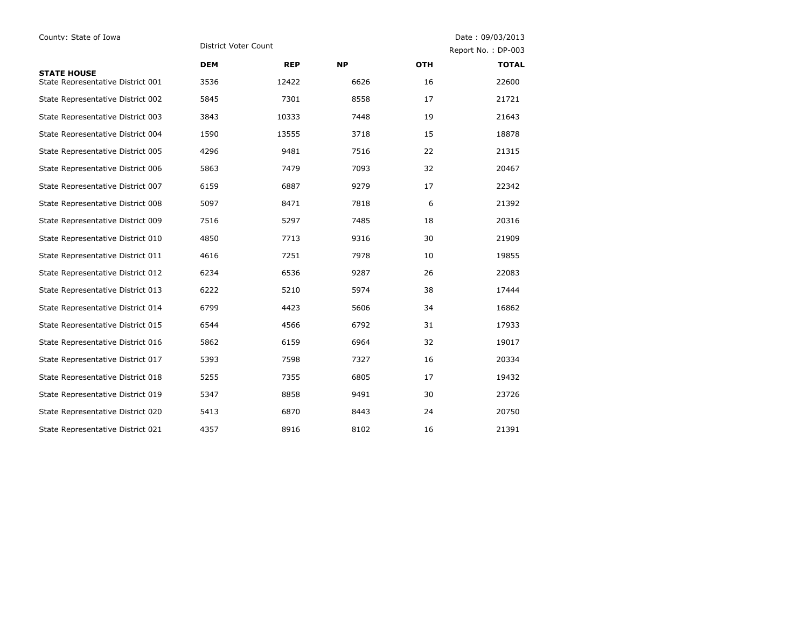| County: State of Iowa             |                      |            | Date: 09/03/2013 |                    |              |  |
|-----------------------------------|----------------------|------------|------------------|--------------------|--------------|--|
|                                   | District Voter Count |            |                  | Report No.: DP-003 |              |  |
| <b>STATE HOUSE</b>                | <b>DEM</b>           | <b>REP</b> | <b>NP</b>        | <b>OTH</b>         | <b>TOTAL</b> |  |
| State Representative District 001 | 3536                 | 12422      | 6626             | 16                 | 22600        |  |
| State Representative District 002 | 5845                 | 7301       | 8558             | 17                 | 21721        |  |
| State Representative District 003 | 3843                 | 10333      | 7448             | 19                 | 21643        |  |
| State Representative District 004 | 1590                 | 13555      | 3718             | 15                 | 18878        |  |
| State Representative District 005 | 4296                 | 9481       | 7516             | 22                 | 21315        |  |
| State Representative District 006 | 5863                 | 7479       | 7093             | 32                 | 20467        |  |
| State Representative District 007 | 6159                 | 6887       | 9279             | 17                 | 22342        |  |
| State Representative District 008 | 5097                 | 8471       | 7818             | 6                  | 21392        |  |
| State Representative District 009 | 7516                 | 5297       | 7485             | 18                 | 20316        |  |
| State Representative District 010 | 4850                 | 7713       | 9316             | 30                 | 21909        |  |
| State Representative District 011 | 4616                 | 7251       | 7978             | 10                 | 19855        |  |
| State Representative District 012 | 6234                 | 6536       | 9287             | 26                 | 22083        |  |
| State Representative District 013 | 6222                 | 5210       | 5974             | 38                 | 17444        |  |
| State Representative District 014 | 6799                 | 4423       | 5606             | 34                 | 16862        |  |
| State Representative District 015 | 6544                 | 4566       | 6792             | 31                 | 17933        |  |
| State Representative District 016 | 5862                 | 6159       | 6964             | 32                 | 19017        |  |
| State Representative District 017 | 5393                 | 7598       | 7327             | 16                 | 20334        |  |
| State Representative District 018 | 5255                 | 7355       | 6805             | 17                 | 19432        |  |
| State Representative District 019 | 5347                 | 8858       | 9491             | 30                 | 23726        |  |
| State Representative District 020 | 5413                 | 6870       | 8443             | 24                 | 20750        |  |
| State Representative District 021 | 4357                 | 8916       | 8102             | 16                 | 21391        |  |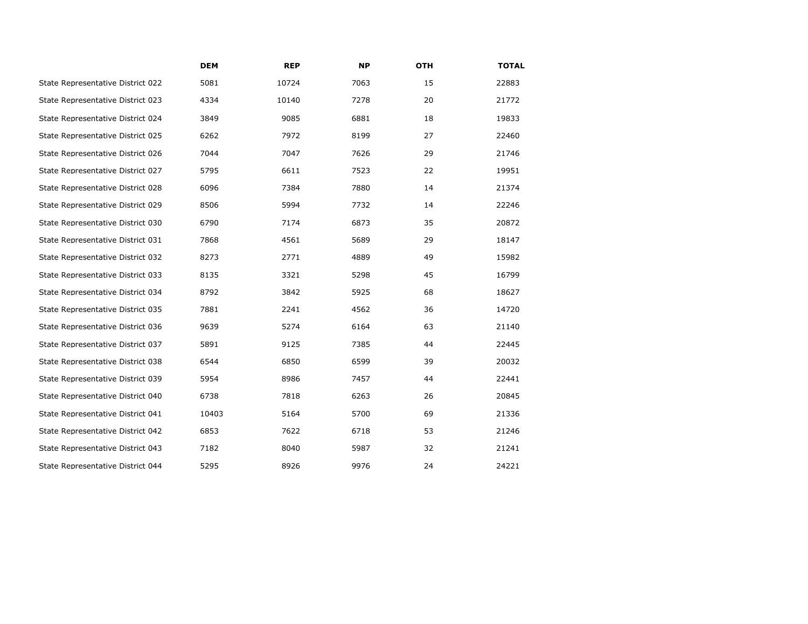|                                   | <b>DEM</b> | <b>REP</b> | <b>NP</b> | <b>OTH</b> | <b>TOTAL</b> |
|-----------------------------------|------------|------------|-----------|------------|--------------|
| State Representative District 022 | 5081       | 10724      | 7063      | 15         | 22883        |
| State Representative District 023 | 4334       | 10140      | 7278      | 20         | 21772        |
| State Representative District 024 | 3849       | 9085       | 6881      | 18         | 19833        |
| State Representative District 025 | 6262       | 7972       | 8199      | 27         | 22460        |
| State Representative District 026 | 7044       | 7047       | 7626      | 29         | 21746        |
| State Representative District 027 | 5795       | 6611       | 7523      | 22         | 19951        |
| State Representative District 028 | 6096       | 7384       | 7880      | 14         | 21374        |
| State Representative District 029 | 8506       | 5994       | 7732      | 14         | 22246        |
| State Representative District 030 | 6790       | 7174       | 6873      | 35         | 20872        |
| State Representative District 031 | 7868       | 4561       | 5689      | 29         | 18147        |
| State Representative District 032 | 8273       | 2771       | 4889      | 49         | 15982        |
| State Representative District 033 | 8135       | 3321       | 5298      | 45         | 16799        |
| State Representative District 034 | 8792       | 3842       | 5925      | 68         | 18627        |
| State Representative District 035 | 7881       | 2241       | 4562      | 36         | 14720        |
| State Representative District 036 | 9639       | 5274       | 6164      | 63         | 21140        |
| State Representative District 037 | 5891       | 9125       | 7385      | 44         | 22445        |
| State Representative District 038 | 6544       | 6850       | 6599      | 39         | 20032        |
| State Representative District 039 | 5954       | 8986       | 7457      | 44         | 22441        |
| State Representative District 040 | 6738       | 7818       | 6263      | 26         | 20845        |
| State Representative District 041 | 10403      | 5164       | 5700      | 69         | 21336        |
| State Representative District 042 | 6853       | 7622       | 6718      | 53         | 21246        |
| State Representative District 043 | 7182       | 8040       | 5987      | 32         | 21241        |
| State Representative District 044 | 5295       | 8926       | 9976      | 24         | 24221        |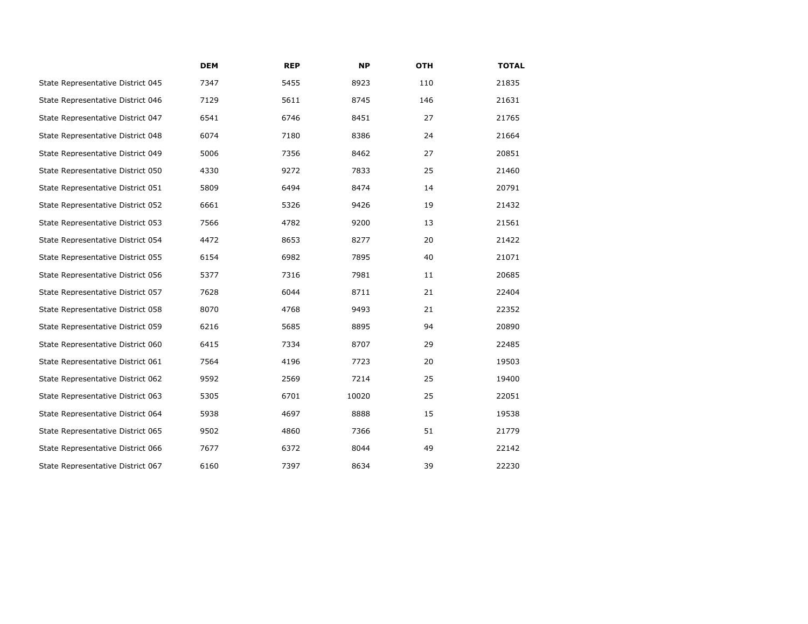|                                   | <b>DEM</b> | <b>REP</b> | <b>NP</b> | <b>OTH</b> | TOTAL |
|-----------------------------------|------------|------------|-----------|------------|-------|
| State Representative District 045 | 7347       | 5455       | 8923      | 110        | 21835 |
| State Representative District 046 | 7129       | 5611       | 8745      | 146        | 21631 |
| State Representative District 047 | 6541       | 6746       | 8451      | 27         | 21765 |
| State Representative District 048 | 6074       | 7180       | 8386      | 24         | 21664 |
| State Representative District 049 | 5006       | 7356       | 8462      | 27         | 20851 |
| State Representative District 050 | 4330       | 9272       | 7833      | 25         | 21460 |
| State Representative District 051 | 5809       | 6494       | 8474      | 14         | 20791 |
| State Representative District 052 | 6661       | 5326       | 9426      | 19         | 21432 |
| State Representative District 053 | 7566       | 4782       | 9200      | 13         | 21561 |
| State Representative District 054 | 4472       | 8653       | 8277      | 20         | 21422 |
| State Representative District 055 | 6154       | 6982       | 7895      | 40         | 21071 |
| State Representative District 056 | 5377       | 7316       | 7981      | 11         | 20685 |
| State Representative District 057 | 7628       | 6044       | 8711      | 21         | 22404 |
| State Representative District 058 | 8070       | 4768       | 9493      | 21         | 22352 |
| State Representative District 059 | 6216       | 5685       | 8895      | 94         | 20890 |
| State Representative District 060 | 6415       | 7334       | 8707      | 29         | 22485 |
| State Representative District 061 | 7564       | 4196       | 7723      | 20         | 19503 |
| State Representative District 062 | 9592       | 2569       | 7214      | 25         | 19400 |
| State Representative District 063 | 5305       | 6701       | 10020     | 25         | 22051 |
| State Representative District 064 | 5938       | 4697       | 8888      | 15         | 19538 |
| State Representative District 065 | 9502       | 4860       | 7366      | 51         | 21779 |
| State Representative District 066 | 7677       | 6372       | 8044      | 49         | 22142 |
| State Representative District 067 | 6160       | 7397       | 8634      | 39         | 22230 |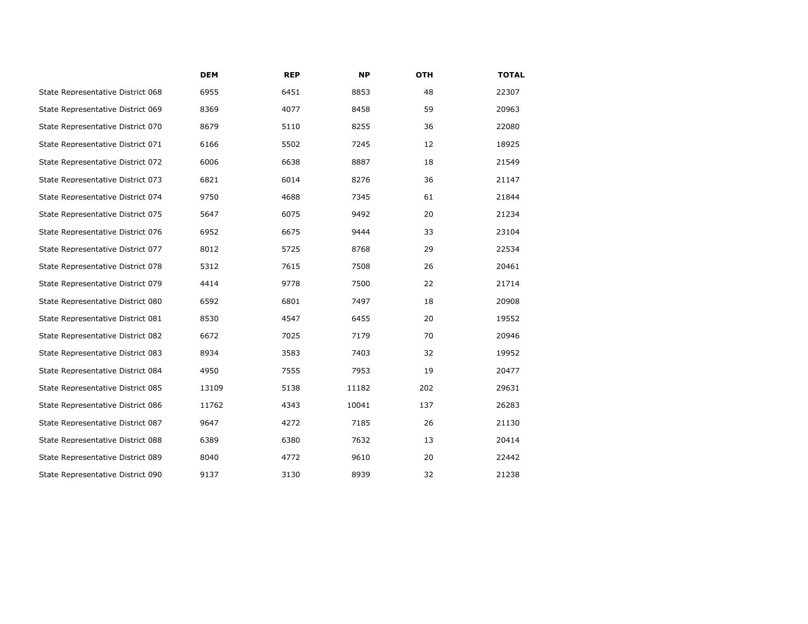|                                   | <b>DEM</b> | <b>REP</b> | <b>NP</b> | <b>OTH</b> | <b>TOTAL</b> |
|-----------------------------------|------------|------------|-----------|------------|--------------|
| State Representative District 068 | 6955       | 6451       | 8853      | 48         | 22307        |
| State Representative District 069 | 8369       | 4077       | 8458      | 59         | 20963        |
| State Representative District 070 | 8679       | 5110       | 8255      | 36         | 22080        |
| State Representative District 071 | 6166       | 5502       | 7245      | 12         | 18925        |
| State Representative District 072 | 6006       | 6638       | 8887      | 18         | 21549        |
| State Representative District 073 | 6821       | 6014       | 8276      | 36         | 21147        |
| State Representative District 074 | 9750       | 4688       | 7345      | 61         | 21844        |
| State Representative District 075 | 5647       | 6075       | 9492      | 20         | 21234        |
| State Representative District 076 | 6952       | 6675       | 9444      | 33         | 23104        |
| State Representative District 077 | 8012       | 5725       | 8768      | 29         | 22534        |
| State Representative District 078 | 5312       | 7615       | 7508      | 26         | 20461        |
| State Representative District 079 | 4414       | 9778       | 7500      | 22         | 21714        |
| State Representative District 080 | 6592       | 6801       | 7497      | 18         | 20908        |
| State Representative District 081 | 8530       | 4547       | 6455      | 20         | 19552        |
| State Representative District 082 | 6672       | 7025       | 7179      | 70         | 20946        |
| State Representative District 083 | 8934       | 3583       | 7403      | 32         | 19952        |
| State Representative District 084 | 4950       | 7555       | 7953      | 19         | 20477        |
| State Representative District 085 | 13109      | 5138       | 11182     | 202        | 29631        |
| State Representative District 086 | 11762      | 4343       | 10041     | 137        | 26283        |
| State Representative District 087 | 9647       | 4272       | 7185      | 26         | 21130        |
| State Representative District 088 | 6389       | 6380       | 7632      | 13         | 20414        |
| State Representative District 089 | 8040       | 4772       | 9610      | 20         | 22442        |
| State Representative District 090 | 9137       | 3130       | 8939      | 32         | 21238        |